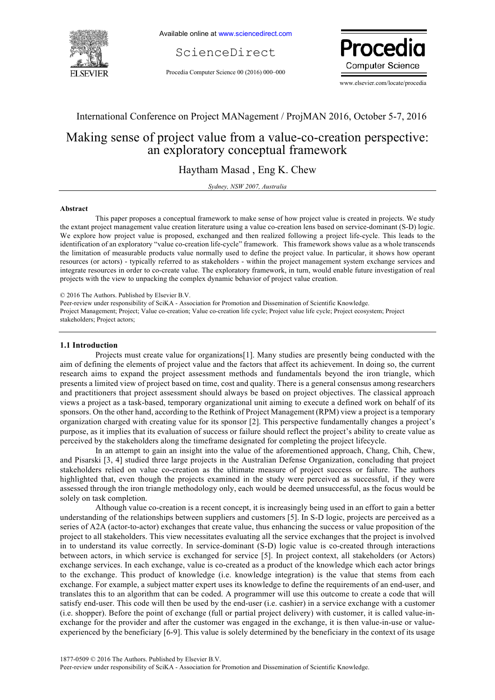

Available online at www.sciencedirect.com

ScienceDirect

Procedia Computer Science 00 (2016) 000–000



www.elsevier.com/locate/procedia

## International Conference on Project MANagement / ProjMAN 2016, October 5-7, 2016

# Making sense of project value from a value-co-creation perspective: an exploratory conceptual framework

Haytham Masad , Eng K. Chew

*Sydney, NSW 2007, Australia*

#### **Abstract**

This paper proposes a conceptual framework to make sense of how project value is created in projects. We study the extant project management value creation literature using a value co-creation lens based on service-dominant (S-D) logic. We explore how project value is proposed, exchanged and then realized following a project life-cycle. This leads to the identification of an exploratory "value co-creation life-cycle" framework. This framework shows value as a whole transcends the limitation of measurable products value normally used to define the project value. In particular, it shows how operant resources (or actors) - typically referred to as stakeholders - within the project management system exchange services and integrate resources in order to co-create value. The exploratory framework, in turn, would enable future investigation of real projects with the view to unpacking the complex dynamic behavior of project value creation.

Peer-review under responsibility of SciKA - Association for Promotion and Dissemination of Scientific Knowledge. Project Management; Project; Value co-creation; Value co-creation life cycle; Project value life cycle; Project ecosystem; Project stakeholders; Project actors;

### **1.1 Introduction**

Projects must create value for organizations[1]. Many studies are presently being conducted with the aim of defining the elements of project value and the factors that affect its achievement. In doing so, the current research aims to expand the project assessment methods and fundamentals beyond the iron triangle, which presents a limited view of project based on time, cost and quality. There is a general consensus among researchers and practitioners that project assessment should always be based on project objectives. The classical approach views a project as a task-based, temporary organizational unit aiming to execute a defined work on behalf of its sponsors. On the other hand, according to the Rethink of Project Management (RPM) view a project is a temporary organization charged with creating value for its sponsor [2]. This perspective fundamentally changes a project's purpose, as it implies that its evaluation of success or failure should reflect the project's ability to create value as perceived by the stakeholders along the timeframe designated for completing the project lifecycle.

In an attempt to gain an insight into the value of the aforementioned approach, Chang, Chih, Chew, and Pisarski [3, 4] studied three large projects in the Australian Defense Organization, concluding that project stakeholders relied on value co-creation as the ultimate measure of project success or failure. The authors highlighted that, even though the projects examined in the study were perceived as successful, if they were assessed through the iron triangle methodology only, each would be deemed unsuccessful, as the focus would be solely on task completion.

Although value co-creation is a recent concept, it is increasingly being used in an effort to gain a better understanding of the relationships between suppliers and customers [5]. In S-D logic, projects are perceived as a series of A2A (actor-to-actor) exchanges that create value, thus enhancing the success or value proposition of the project to all stakeholders. This view necessitates evaluating all the service exchanges that the project is involved in to understand its value correctly. In service-dominant (S-D) logic value is co-created through interactions between actors, in which service is exchanged for service [5]. In project context, all stakeholders (or Actors) exchange services. In each exchange, value is co-created as a product of the knowledge which each actor brings to the exchange. This product of knowledge (i.e. knowledge integration) is the value that stems from each exchange. For example, a subject matter expert uses its knowledge to define the requirements of an end-user, and translates this to an algorithm that can be coded. A programmer will use this outcome to create a code that will satisfy end-user. This code will then be used by the end-user (i.e. cashier) in a service exchange with a customer (i.e. shopper). Before the point of exchange (full or partial project delivery) with customer, it is called value-inexchange for the provider and after the customer was engaged in the exchange, it is then value-in-use or valueexperienced by the beneficiary [6-9]. This value is solely determined by the beneficiary in the context of its usage

<sup>© 2016</sup> The Authors. Published by Elsevier B.V.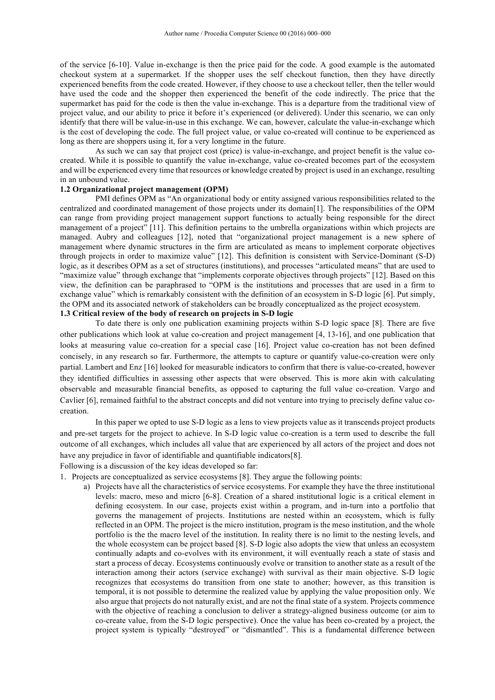of the service [6-10]. Value in-exchange is then the price paid for the code. A good example is the automated checkout system at a supermarket. If the shopper uses the self checkout function, then they have directly experienced benefits from the code created. However, if they choose to use a checkout teller, then the teller would have used the code and the shopper then experienced the benefit of the code indirectly. The price that the supermarket has paid for the code is then the value in-exchange. This is a departure from the traditional view of project value, and our ability to price it before it's experienced (or delivered). Under this scenario, we can only identify that there will be value-in-use in this exchange. We can, however, calculate the value-in-exchange which is the cost of developing the code. The full project value, or value co-created will continue to be experienced as long as there are shoppers using it, for a very longtime in the future.

As such we can say that project cost (price) is value-in-exchange, and project benefit is the value cocreated. While it is possible to quantify the value in-exchange, value co-created becomes part of the ecosystem and will be experienced every time that resources or knowledge created by project is used in an exchange, resulting in an unbound value.

#### **1.2 Organizational project management (OPM)**

PMI defines OPM as "An organizational body or entity assigned various responsibilities related to the centralized and coordinated management of those projects under its domain[1]. The responsibilities of the OPM can range from providing project management support functions to actually being responsible for the direct management of a project" [11]. This definition pertains to the umbrella organizations within which projects are managed. Aubry and colleagues [12], noted that "organizational project management is a new sphere of management where dynamic structures in the firm are articulated as means to implement corporate objectives through projects in order to maximize value" [12]. This definition is consistent with Service-Dominant (S-D) logic, as it describes OPM as a set of structures (institutions), and processes "articulated means" that are used to "maximize value" through exchange that "implements corporate objectives through projects" [12]. Based on this view, the definition can be paraphrased to "OPM is the institutions and processes that are used in a firm to exchange value" which is remarkably consistent with the definition of an ecosystem in S-D logic [6]. Put simply, the OPM and its associated network of stakeholders can be broadly conceptualized as the project ecosystem. **1.3 Critical review of the body of research on projects in S-D logic**

To date there is only one publication examining projects within S-D logic space [8]. There are five other publications which look at value co-creation and project management [4, 13-16], and one publication that looks at measuring value co-creation for a special case [16]. Project value co-creation has not been defined concisely, in any research so far. Furthermore, the attempts to capture or quantify value-co-creation were only partial. Lambert and Enz [16] looked for measurable indicators to confirm that there is value-co-created, however they identified difficulties in assessing other aspects that were observed. This is more akin with calculating observable and measurable financial benefits, as opposed to capturing the full value co-creation. Vargo and Cavlier [6], remained faithful to the abstract concepts and did not venture into trying to precisely define value cocreation.

In this paper we opted to use S-D logic as a lens to view projects value as it transcends project products and pre-set targets for the project to achieve. In S-D logic value co-creation is a term used to describe the full outcome of all exchanges, which includes all value that are experienced by all actors of the project and does not have any prejudice in favor of identifiable and quantifiable indicators[8].

Following is a discussion of the key ideas developed so far:

1. Projects are conceptualized as service ecosystems [8]. They argue the following points:

a) Projects have all the characteristics of service ecosystems. For example they have the three institutional levels: macro, meso and micro [6-8]. Creation of a shared institutional logic is a critical element in defining ecosystem. In our case, projects exist within a program, and in-turn into a portfolio that governs the management of projects. Institutions are nested within an ecosystem, which is fully reflected in an OPM. The project is the micro institution, program is the meso institution, and the whole portfolio is the the macro level of the institution. In reality there is no limit to the nesting levels, and the whole ecosystem can be project based [8]. S-D logic also adopts the view that unless an ecosystem continually adapts and co-evolves with its environment, it will eventually reach a state of stasis and start a process of decay. Ecosystems continuously evolve or transition to another state as a result of the interaction among their actors (service exchange) with survival as their main objective. S-D logic recognizes that ecosystems do transition from one state to another; however, as this transition is temporal, it is not possible to determine the realized value by applying the value proposition only. We also argue that projects do not naturally exist, and are not the final state of a system. Projects commence with the objective of reaching a conclusion to deliver a strategy-aligned business outcome (or aim to co-create value, from the S-D logic perspective). Once the value has been co-created by a project, the project system is typically "destroyed" or "dismantled". This is a fundamental difference between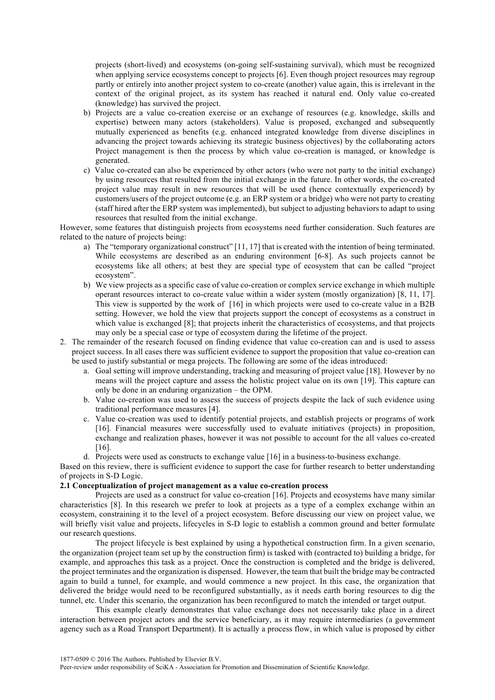projects (short-lived) and ecosystems (on-going self-sustaining survival), which must be recognized when applying service ecosystems concept to projects [6]. Even though project resources may regroup partly or entirely into another project system to co-create (another) value again, this is irrelevant in the context of the original project, as its system has reached it natural end. Only value co-created (knowledge) has survived the project.

- b) Projects are a value co-creation exercise or an exchange of resources (e.g. knowledge, skills and expertise) between many actors (stakeholders). Value is proposed, exchanged and subsequently mutually experienced as benefits (e.g. enhanced integrated knowledge from diverse disciplines in advancing the project towards achieving its strategic business objectives) by the collaborating actors Project management is then the process by which value co-creation is managed, or knowledge is generated.
- c) Value co-created can also be experienced by other actors (who were not party to the initial exchange) by using resources that resulted from the initial exchange in the future. In other words, the co-created project value may result in new resources that will be used (hence contextually experienced) by customers/users of the project outcome (e.g. an ERP system or a bridge) who were not party to creating (staff hired after the ERP system was implemented), but subject to adjusting behaviors to adapt to using resources that resulted from the initial exchange.

However, some features that distinguish projects from ecosystems need further consideration. Such features are related to the nature of projects being:

- a) The "temporary organizational construct" [11, 17] that is created with the intention of being terminated. While ecosystems are described as an enduring environment [6-8]. As such projects cannot be ecosystems like all others; at best they are special type of ecosystem that can be called "project ecosystem".
- b) We view projects as a specific case of value co-creation or complex service exchange in which multiple operant resources interact to co-create value within a wider system (mostly organization) [8, 11, 17]. This view is supported by the work of [16] in which projects were used to co-create value in a B2B setting. However, we hold the view that projects support the concept of ecosystems as a construct in which value is exchanged [8]; that projects inherit the characteristics of ecosystems, and that projects may only be a special case or type of ecosystem during the lifetime of the project.
- 2. The remainder of the research focused on finding evidence that value co-creation can and is used to assess project success. In all cases there was sufficient evidence to support the proposition that value co-creation can be used to justify substantial or mega projects. The following are some of the ideas introduced:
	- a. Goal setting will improve understanding, tracking and measuring of project value [18]. However by no means will the project capture and assess the holistic project value on its own [19]. This capture can only be done in an enduring organization – the OPM.
	- b. Value co-creation was used to assess the success of projects despite the lack of such evidence using traditional performance measures [4].
	- c. Value co-creation was used to identify potential projects, and establish projects or programs of work [16]. Financial measures were successfully used to evaluate initiatives (projects) in proposition, exchange and realization phases, however it was not possible to account for the all values co-created [16].
	- d. Projects were used as constructs to exchange value [16] in a business-to-business exchange.

Based on this review, there is sufficient evidence to support the case for further research to better understanding of projects in S-D Logic.

## **2.1 Conceptualization of project management as a value co-creation process**

Projects are used as a construct for value co-creation [16]. Projects and ecosystems have many similar characteristics [8]. In this research we prefer to look at projects as a type of a complex exchange within an ecosystem, constraining it to the level of a project ecosystem. Before discussing our view on project value, we will briefly visit value and projects, lifecycles in S-D logic to establish a common ground and better formulate our research questions.

The project lifecycle is best explained by using a hypothetical construction firm. In a given scenario, the organization (project team set up by the construction firm) is tasked with (contracted to) building a bridge, for example, and approaches this task as a project. Once the construction is completed and the bridge is delivered, the project terminates and the organization is dispensed. However, the team that built the bridge may be contracted again to build a tunnel, for example, and would commence a new project. In this case, the organization that delivered the bridge would need to be reconfigured substantially, as it needs earth boring resources to dig the tunnel, etc. Under this scenario, the organization has been reconfigured to match the intended or target output.

This example clearly demonstrates that value exchange does not necessarily take place in a direct interaction between project actors and the service beneficiary, as it may require intermediaries (a government agency such as a Road Transport Department). It is actually a process flow, in which value is proposed by either

1877-0509 © 2016 The Authors. Published by Elsevier B.V.

Peer-review under responsibility of SciKA - Association for Promotion and Dissemination of Scientific Knowledge.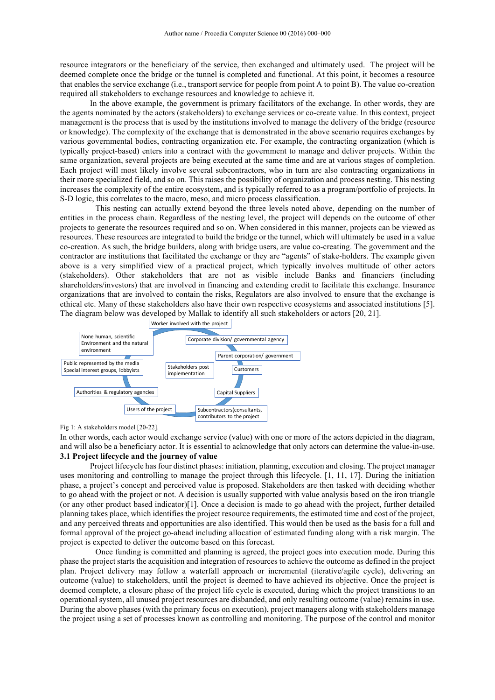resource integrators or the beneficiary of the service, then exchanged and ultimately used. The project will be deemed complete once the bridge or the tunnel is completed and functional. At this point, it becomes a resource that enables the service exchange (i.e., transport service for people from point A to point B). The value co-creation required all stakeholders to exchange resources and knowledge to achieve it.

In the above example, the government is primary facilitators of the exchange. In other words, they are the agents nominated by the actors (stakeholders) to exchange services or co-create value. In this context, project management is the process that is used by the institutions involved to manage the delivery of the bridge (resource or knowledge). The complexity of the exchange that is demonstrated in the above scenario requires exchanges by various governmental bodies, contracting organization etc. For example, the contracting organization (which is typically project-based) enters into a contract with the government to manage and deliver projects. Within the same organization, several projects are being executed at the same time and are at various stages of completion. Each project will most likely involve several subcontractors, who in turn are also contracting organizations in their more specialized field, and so on. This raises the possibility of organization and process nesting. This nesting increases the complexity of the entire ecosystem, and is typically referred to as a program/portfolio of projects. In S-D logic, this correlates to the macro, meso, and micro process classification.

This nesting can actually extend beyond the three levels noted above, depending on the number of entities in the process chain. Regardless of the nesting level, the project will depends on the outcome of other projects to generate the resources required and so on. When considered in this manner, projects can be viewed as resources. These resources are integrated to build the bridge or the tunnel, which will ultimately be used in a value co-creation. As such, the bridge builders, along with bridge users, are value co-creating. The government and the contractor are institutions that facilitated the exchange or they are "agents" of stake-holders. The example given above is a very simplified view of a practical project, which typically involves multitude of other actors (stakeholders). Other stakeholders that are not as visible include Banks and financiers (including shareholders/investors) that are involved in financing and extending credit to facilitate this exchange. Insurance organizations that are involved to contain the risks, Regulators are also involved to ensure that the exchange is ethical etc. Many of these stakeholders also have their own respective ecosystems and associated institutions [5]. The diagram below was developed by Mallak to identify all such stakeholders or actors [20, 21].



Fig 1: A stakeholders model [20-22].

In other words, each actor would exchange service (value) with one or more of the actors depicted in the diagram, and will also be a beneficiary actor. It is essential to acknowledge that only actors can determine the value-in-use. **3.1 Project lifecycle and the journey of value**

Project lifecycle has four distinct phases: initiation, planning, execution and closing. The project manager uses monitoring and controlling to manage the project through this lifecycle. [1, 11, 17]. During the initiation phase, a project's concept and perceived value is proposed. Stakeholders are then tasked with deciding whether to go ahead with the project or not. A decision is usually supported with value analysis based on the iron triangle (or any other product based indicator)[1]. Once a decision is made to go ahead with the project, further detailed planning takes place, which identifies the project resource requirements, the estimated time and cost of the project, and any perceived threats and opportunities are also identified. This would then be used as the basis for a full and formal approval of the project go-ahead including allocation of estimated funding along with a risk margin. The project is expected to deliver the outcome based on this forecast.

Once funding is committed and planning is agreed, the project goes into execution mode. During this phase the project starts the acquisition and integration of resources to achieve the outcome as defined in the project plan. Project delivery may follow a waterfall approach or incremental (iterative/agile cycle), delivering an outcome (value) to stakeholders, until the project is deemed to have achieved its objective. Once the project is deemed complete, a closure phase of the project life cycle is executed, during which the project transitions to an operational system, all unused project resources are disbanded, and only resulting outcome (value) remains in use. During the above phases (with the primary focus on execution), project managers along with stakeholders manage the project using a set of processes known as controlling and monitoring. The purpose of the control and monitor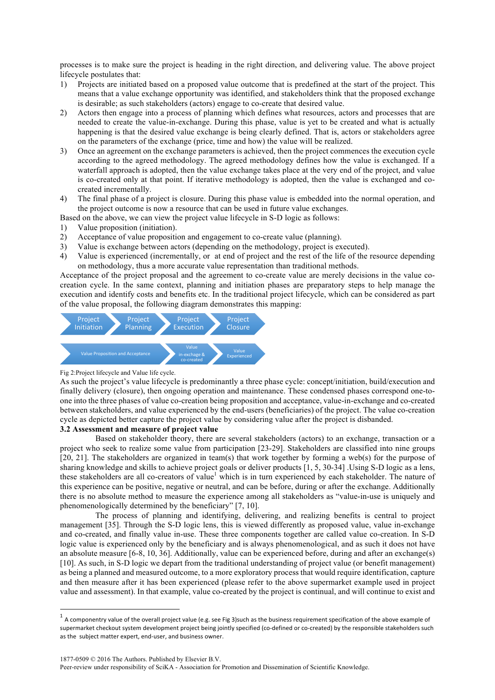processes is to make sure the project is heading in the right direction, and delivering value. The above project lifecycle postulates that:

- 1) Projects are initiated based on a proposed value outcome that is predefined at the start of the project. This means that a value exchange opportunity was identified, and stakeholders think that the proposed exchange is desirable; as such stakeholders (actors) engage to co-create that desired value.
- 2) Actors then engage into a process of planning which defines what resources, actors and processes that are needed to create the value-in-exchange. During this phase, value is yet to be created and what is actually happening is that the desired value exchange is being clearly defined. That is, actors or stakeholders agree on the parameters of the exchange (price, time and how) the value will be realized.
- 3) Once an agreement on the exchange parameters is achieved, then the project commences the execution cycle according to the agreed methodology. The agreed methodology defines how the value is exchanged. If a waterfall approach is adopted, then the value exchange takes place at the very end of the project, and value is co-created only at that point. If iterative methodology is adopted, then the value is exchanged and cocreated incrementally.
- 4) The final phase of a project is closure. During this phase value is embedded into the normal operation, and the project outcome is now a resource that can be used in future value exchanges.
- Based on the above, we can view the project value lifecycle in S-D logic as follows:
- 1) Value proposition (initiation).
- 2) Acceptance of value proposition and engagement to co-create value (planning).
- 3) Value is exchange between actors (depending on the methodology, project is executed).
- 4) Value is experienced (incrementally, or at end of project and the rest of the life of the resource depending on methodology, thus a more accurate value representation than traditional methods.

Acceptance of the project proposal and the agreement to co-create value are merely decisions in the value cocreation cycle. In the same context, planning and initiation phases are preparatory steps to help manage the execution and identify costs and benefits etc. In the traditional project lifecycle, which can be considered as part of the value proposal, the following diagram demonstrates this mapping:



Fig 2:Project lifecycle and Value life cycle.

As such the project's value lifecycle is predominantly a three phase cycle: concept/initiation, build/execution and finally delivery (closure), then ongoing operation and maintenance. These condensed phases correspond one-toone into the three phases of value co-creation being proposition and acceptance, value-in-exchange and co-created between stakeholders, and value experienced by the end-users (beneficiaries) of the project. The value co-creation cycle as depicted better capture the project value by considering value after the project is disbanded.

#### **3.2 Assessment and measure of project value**

Based on stakeholder theory, there are several stakeholders (actors) to an exchange, transaction or a project who seek to realize some value from participation [23-29]. Stakeholders are classified into nine groups [20, 21]. The stakeholders are organized in team(s) that work together by forming a web(s) for the purpose of sharing knowledge and skills to achieve project goals or deliver products [1, 5, 30-34] .Using S-D logic as a lens, these stakeholders are all co-creators of value<sup>1</sup> which is in turn experienced by each stakeholder. The nature of this experience can be positive, negative or neutral, and can be before, during or after the exchange. Additionally there is no absolute method to measure the experience among all stakeholders as "value-in-use is uniquely and phenomenologically determined by the beneficiary" [7, 10].

The process of planning and identifying, delivering, and realizing benefits is central to project management [35]. Through the S-D logic lens, this is viewed differently as proposed value, value in-exchange and co-created, and finally value in-use. These three components together are called value co-creation. In S-D logic value is experienced only by the beneficiary and is always phenomenological, and as such it does not have an absolute measure [6-8, 10, 36]. Additionally, value can be experienced before, during and after an exchange(s) [10]. As such, in S-D logic we depart from the traditional understanding of project value (or benefit management) as being a planned and measured outcome, to a more exploratory process that would require identification, capture and then measure after it has been experienced (please refer to the above supermarket example used in project value and assessment). In that example, value co-created by the project is continual, and will continue to exist and

1877-0509 © 2016 The Authors. Published by Elsevier B.V.

Peer-review under responsibility of SciKA - Association for Promotion and Dissemination of Scientific Knowledge.

 $<sup>1</sup>$  A componentry value of the overall project value (e.g. see Fig 3)such as the business requirement specification of the above example of</sup> supermarket checkout system development project being jointly specified (co-defined or co-created) by the responsible stakeholders such as the subject matter expert, end-user, and business owner.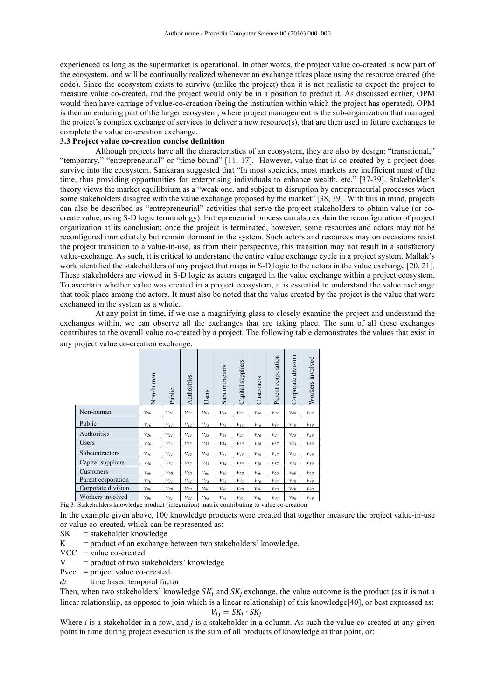experienced as long as the supermarket is operational. In other words, the project value co-created is now part of the ecosystem, and will be continually realized whenever an exchange takes place using the resource created (the code). Since the ecosystem exists to survive (unlike the project) then it is not realistic to expect the project to measure value co-created, and the project would only be in a position to predict it. As discussed earlier, OPM would then have carriage of value-co-creation (being the institution within which the project has operated). OPM is then an enduring part of the larger ecosystem, where project management is the sub-organization that managed the project's complex exchange of services to deliver a new resource(s), that are then used in future exchanges to complete the value co-creation exchange.

### **3.3 Project value co-creation concise definition**

Although projects have all the characteristics of an ecosystem, they are also by design: "transitional," "temporary," "entrepreneurial" or "time-bound" [11, 17]. However, value that is co-created by a project does survive into the ecosystem. Sankaran suggested that "In most societies, most markets are inefficient most of the time, thus providing opportunities for enterprising individuals to enhance wealth, etc." [37-39]. Stakeholder's theory views the market equilibrium as a "weak one, and subject to disruption by entrepreneurial processes when some stakeholders disagree with the value exchange proposed by the market" [38, 39]. With this in mind, projects can also be described as "entrepreneurial" activities that serve the project stakeholders to obtain value (or cocreate value, using S-D logic terminology). Entrepreneurial process can also explain the reconfiguration of project organization at its conclusion; once the project is terminated, however, some resources and actors may not be reconfigured immediately but remain dormant in the system. Such actors and resources may on occasions resist the project transition to a value-in-use, as from their perspective, this transition may not result in a satisfactory value-exchange. As such, it is critical to understand the entire value exchange cycle in a project system. Mallak's work identified the stakeholders of any project that maps in S-D logic to the actors in the value exchange [20, 21]. These stakeholders are viewed in S-D logic as actors engaged in the value exchange within a project ecosystem. To ascertain whether value was created in a project ecosystem, it is essential to understand the value exchange that took place among the actors. It must also be noted that the value created by the project is the value that were exchanged in the system as a whole.

At any point in time, if we use a magnifying glass to closely examine the project and understand the exchanges within, we can observe all the exchanges that are taking place. The sum of all these exchanges contributes to the overall value co-created by a project. The following table demonstrates the values that exist in any project value co-creation exchange.

|                    | Non-human | Public   | Authorities | Users    | Subcontractors | suppliers<br>Capital | Customers | Parent corporation | division<br>Corporate | Workers involved |
|--------------------|-----------|----------|-------------|----------|----------------|----------------------|-----------|--------------------|-----------------------|------------------|
| Non-human          | $v_{00}$  | $v_{01}$ | $v_{02}$    | $v_{03}$ | $v_{04}$       | $v_{05}$             | $v_{06}$  | $v_{07}$           | $v_{08}$              | $v_{09}$         |
| Public             | $v_{10}$  | $v_{II}$ | $v_{12}$    | $v_{13}$ | $v_{14}$       | $v_{15}$             | $v_{16}$  | $v_{17}$           | $v_{18}$              | $v_{19}$         |
| Authorities        | $v_{20}$  | $v_{21}$ | $v_{22}$    | $v_{23}$ | $v_{24}$       | $v_{25}$             | $v_{26}$  | $v_{27}$           | $v_{28}$              | $v_{29}$         |
| Users              | $v_{30}$  | $v_{31}$ | $v_{32}$    | $v_{33}$ | $v_{34}$       | $v_{35}$             | $v_{36}$  | $v_{37}$           | $v_{38}$              | $v_{39}$         |
| Subcontractors     | $v_{40}$  | $v_{41}$ | $v_{42}$    | $v_{43}$ | $v_{44}$       | $v_{45}$             | $v_{46}$  | $v_{47}$           | $v_{48}$              | $v_{49}$         |
| Capital suppliers  | $v_{50}$  | $v_{51}$ | $v_{52}$    | $v_{53}$ | $v_{54}$       | $v_{55}$             | $v_{56}$  | $v_{57}$           | $v_{58}$              | $v_{59}$         |
| Customers          | $v_{60}$  | $v_{60}$ | $v_{60}$    | $v_{60}$ | $v_{60}$       | $v_{60}$             | $v_{60}$  | $v_{60}$           | $v_{60}$              | $v_{60}$         |
| Parent corporation | $v_{70}$  | $v_{7I}$ | $v_{72}$    | $v_{73}$ | $v_{74}$       | $v_{75}$             | $v_{76}$  | $v_{77}$           | $v_{78}$              | $v_{79}$         |
| Corporate division | $v_{80}$  | $v_{80}$ | $v_{80}$    | $v_{80}$ | $v_{80}$       | $v_{80}$             | $v_{80}$  | $v_{80}$           | $v_{80}$              | $v_{80}$         |
| Workers involved   | $v_{90}$  | $v_{9l}$ | $v_{92}$    | $v_{93}$ | $v_{94}$       | $v_{95}$             | $v_{96}$  | $v_{97}$           | $v_{98}$              | $v_{99}$         |

Fig 3: Stakeholders knowledge product (integration) matrix contributing to value co-creation

In the example given above, 100 knowledge products were created that together measure the project value-in-use or value co-created, which can be represented as:

 $SK =$  stakeholder knowledge

 $K =$  product of an exchange between two stakeholders' knowledge.

 $VCC$  = value co-created

 $V =$  product of two stakeholders' knowledge

Pvcc  $=$  project value co-created

 $dt =$  time based temporal factor

Then, when two stakeholders' knowledge  $SK_i$  and  $SK_i$  exchange, the value outcome is the product (as it is not a linear relationship, as opposed to join which is a linear relationship) of this knowledge[40], or best expressed as:

$$
V_{ij} = SK_i \cdot SK_j
$$

Where *i* is a stakeholder in a row, and *j* is a stakeholder in a column. As such the value co-created at any given point in time during project execution is the sum of all products of knowledge at that point, or: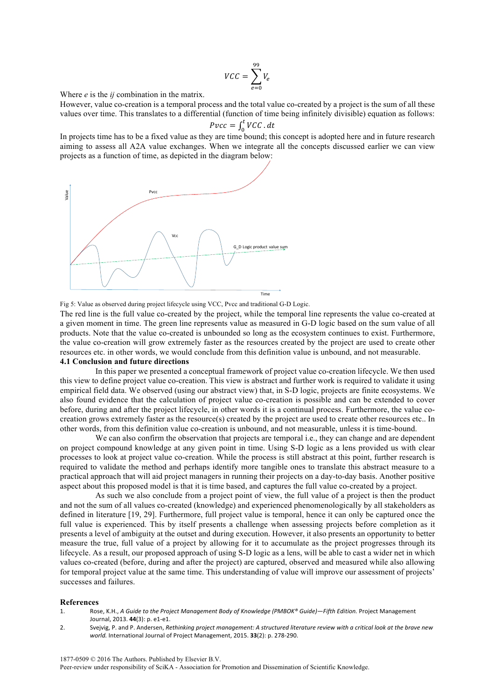$$
VCC = \sum_{e=0}^{99} V_e
$$

Where *e* is the *ij* combination in the matrix.

However, value co-creation is a temporal process and the total value co-created by a project is the sum of all these values over time. This translates to a differential (function of time being infinitely divisible) equation as follows:  $Pvec = \int_{0}^{t} VCC$ 

$$
Pvcc = \int_0^{\iota} VCC \cdot dt
$$

In projects time has to be a fixed value as they are time bound; this concept is adopted here and in future research aiming to assess all A2A value exchanges. When we integrate all the concepts discussed earlier we can view projects as a function of time, as depicted in the diagram below:



Fig 5: Value as observed during project lifecycle using VCC, Pvcc and traditional G-D Logic.

The red line is the full value co-created by the project, while the temporal line represents the value co-created at a given moment in time. The green line represents value as measured in G-D logic based on the sum value of all products. Note that the value co-created is unbounded so long as the ecosystem continues to exist. Furthermore, the value co-creation will grow extremely faster as the resources created by the project are used to create other resources etc. in other words, we would conclude from this definition value is unbound, and not measurable.

### **4.1 Conclusion and future directions**

In this paper we presented a conceptual framework of project value co-creation lifecycle. We then used this view to define project value co-creation. This view is abstract and further work is required to validate it using empirical field data. We observed (using our abstract view) that, in S-D logic, projects are finite ecosystems. We also found evidence that the calculation of project value co-creation is possible and can be extended to cover before, during and after the project lifecycle, in other words it is a continual process. Furthermore, the value cocreation grows extremely faster as the resource(s) created by the project are used to create other resources etc.. In other words, from this definition value co-creation is unbound, and not measurable, unless it is time-bound.

We can also confirm the observation that projects are temporal i.e., they can change and are dependent on project compound knowledge at any given point in time. Using S-D logic as a lens provided us with clear processes to look at project value co-creation. While the process is still abstract at this point, further research is required to validate the method and perhaps identify more tangible ones to translate this abstract measure to a practical approach that will aid project managers in running their projects on a day-to-day basis. Another positive aspect about this proposed model is that it is time based, and captures the full value co-created by a project.

As such we also conclude from a project point of view, the full value of a project is then the product and not the sum of all values co-created (knowledge) and experienced phenomenologically by all stakeholders as defined in literature [19, 29]. Furthermore, full project value is temporal, hence it can only be captured once the full value is experienced. This by itself presents a challenge when assessing projects before completion as it presents a level of ambiguity at the outset and during execution. However, it also presents an opportunity to better measure the true, full value of a project by allowing for it to accumulate as the project progresses through its lifecycle. As a result, our proposed approach of using S-D logic as a lens, will be able to cast a wider net in which values co-created (before, during and after the project) are captured, observed and measured while also allowing for temporal project value at the same time. This understanding of value will improve our assessment of projects' successes and failures.

#### **References**

- 1. Rose, K.H., *A Guide to the Project Management Body of Knowledge (PMBOK® Guide)—Fifth Edition. Project Management* Journal, 2013. **44**(3): p. e1-e1.
- 2. Svejvig, P. and P. Andersen, *Rethinking project management: A structured literature review with a critical look at the brave new* world. International Journal of Project Management, 2015. **33**(2): p. 278-290.